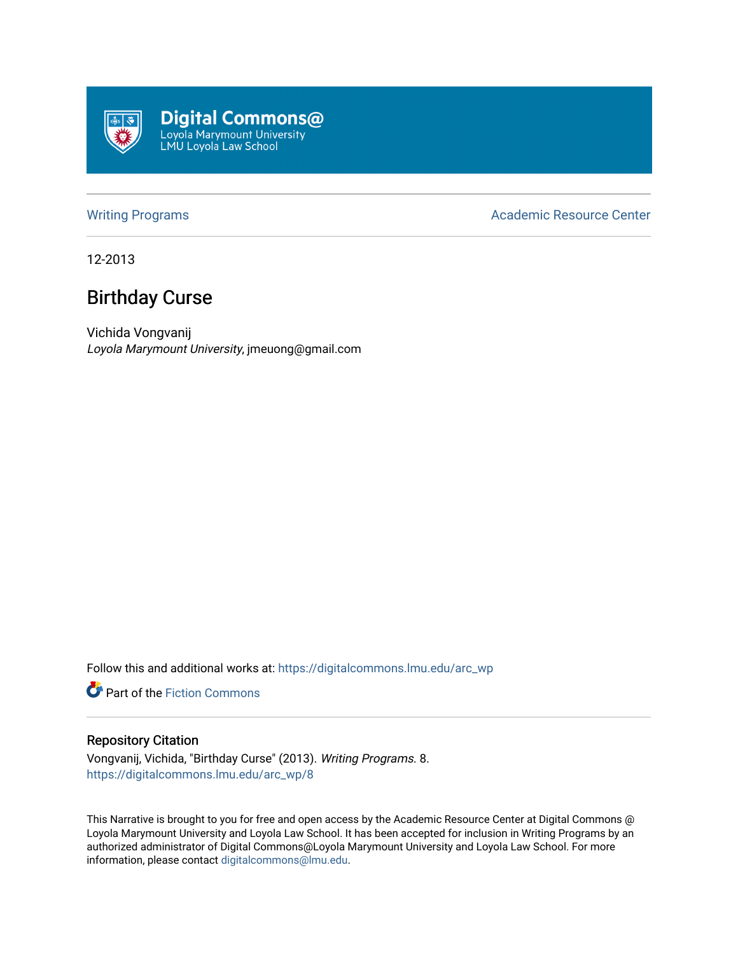

[Writing Programs](https://digitalcommons.lmu.edu/arc_wp) **Academic Resource Center** Academic Resource Center

12-2013

## Birthday Curse

Vichida Vongvanij Loyola Marymount University, jmeuong@gmail.com

Follow this and additional works at: [https://digitalcommons.lmu.edu/arc\\_wp](https://digitalcommons.lmu.edu/arc_wp?utm_source=digitalcommons.lmu.edu%2Farc_wp%2F8&utm_medium=PDF&utm_campaign=PDFCoverPages)

Part of the [Fiction Commons](http://network.bepress.com/hgg/discipline/1151?utm_source=digitalcommons.lmu.edu%2Farc_wp%2F8&utm_medium=PDF&utm_campaign=PDFCoverPages) 

## Repository Citation

Vongvanij, Vichida, "Birthday Curse" (2013). Writing Programs. 8. [https://digitalcommons.lmu.edu/arc\\_wp/8](https://digitalcommons.lmu.edu/arc_wp/8?utm_source=digitalcommons.lmu.edu%2Farc_wp%2F8&utm_medium=PDF&utm_campaign=PDFCoverPages)

This Narrative is brought to you for free and open access by the Academic Resource Center at Digital Commons @ Loyola Marymount University and Loyola Law School. It has been accepted for inclusion in Writing Programs by an authorized administrator of Digital Commons@Loyola Marymount University and Loyola Law School. For more information, please contact [digitalcommons@lmu.edu.](mailto:digitalcommons@lmu.edu)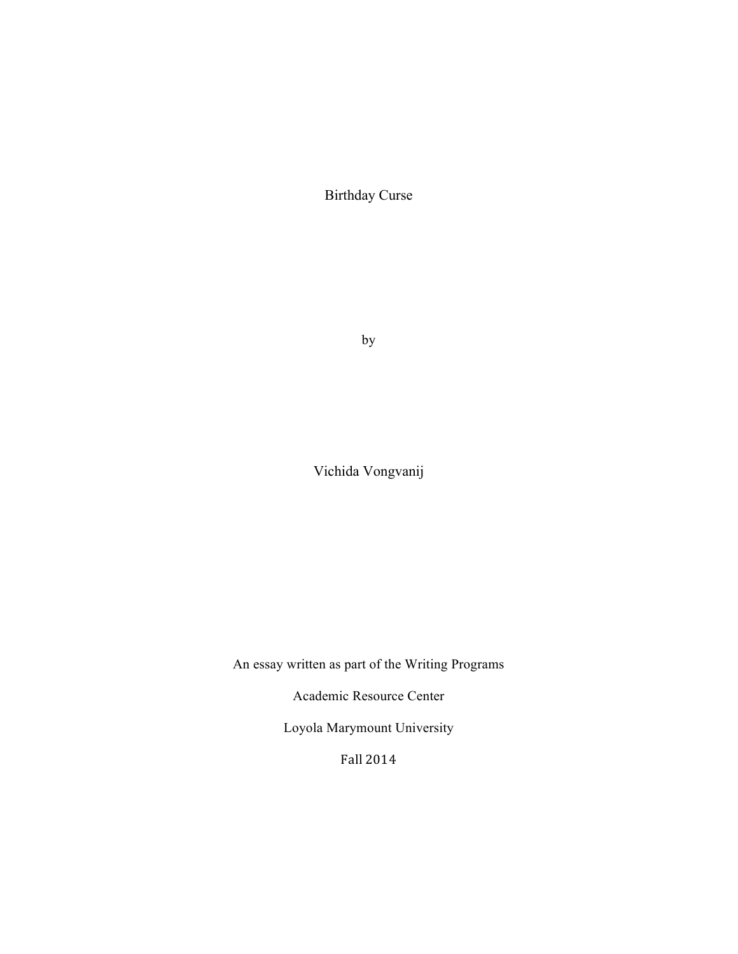Birthday Curse

by

Vichida Vongvanij

An essay written as part of the Writing Programs

Academic Resource Center

Loyola Marymount University

Fall 2014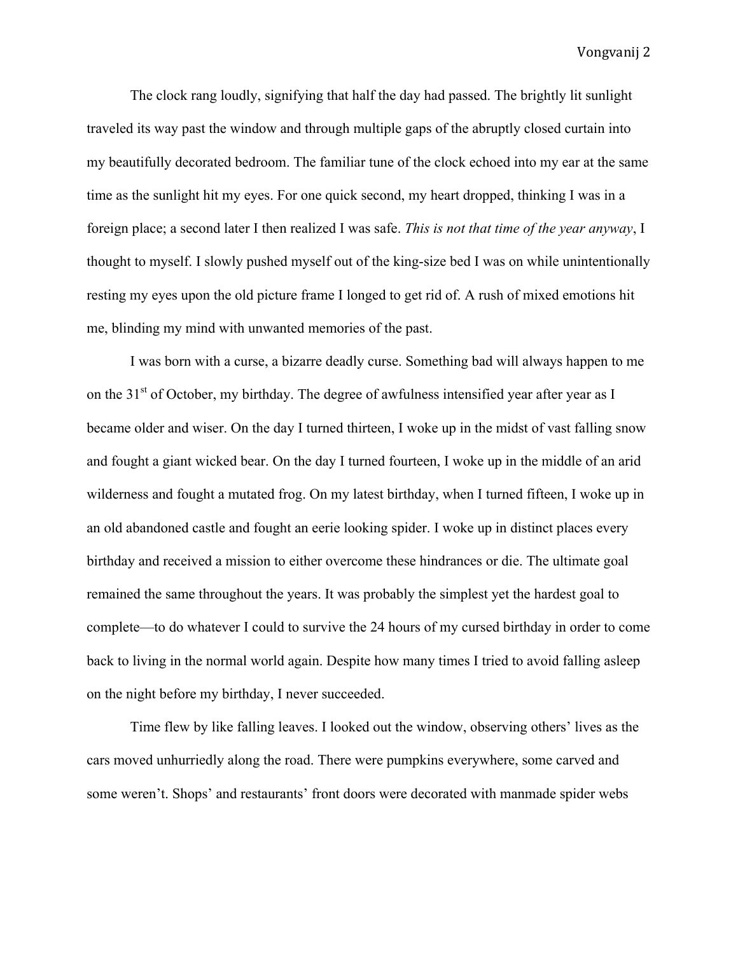The clock rang loudly, signifying that half the day had passed. The brightly lit sunlight traveled its way past the window and through multiple gaps of the abruptly closed curtain into my beautifully decorated bedroom. The familiar tune of the clock echoed into my ear at the same time as the sunlight hit my eyes. For one quick second, my heart dropped, thinking I was in a foreign place; a second later I then realized I was safe. *This is not that time of the year anyway*, I thought to myself. I slowly pushed myself out of the king-size bed I was on while unintentionally resting my eyes upon the old picture frame I longed to get rid of. A rush of mixed emotions hit me, blinding my mind with unwanted memories of the past.

I was born with a curse, a bizarre deadly curse. Something bad will always happen to me on the  $31<sup>st</sup>$  of October, my birthday. The degree of awfulness intensified year after year as I became older and wiser. On the day I turned thirteen, I woke up in the midst of vast falling snow and fought a giant wicked bear. On the day I turned fourteen, I woke up in the middle of an arid wilderness and fought a mutated frog. On my latest birthday, when I turned fifteen, I woke up in an old abandoned castle and fought an eerie looking spider. I woke up in distinct places every birthday and received a mission to either overcome these hindrances or die. The ultimate goal remained the same throughout the years. It was probably the simplest yet the hardest goal to complete—to do whatever I could to survive the 24 hours of my cursed birthday in order to come back to living in the normal world again. Despite how many times I tried to avoid falling asleep on the night before my birthday, I never succeeded.

Time flew by like falling leaves. I looked out the window, observing others' lives as the cars moved unhurriedly along the road. There were pumpkins everywhere, some carved and some weren't. Shops' and restaurants' front doors were decorated with manmade spider webs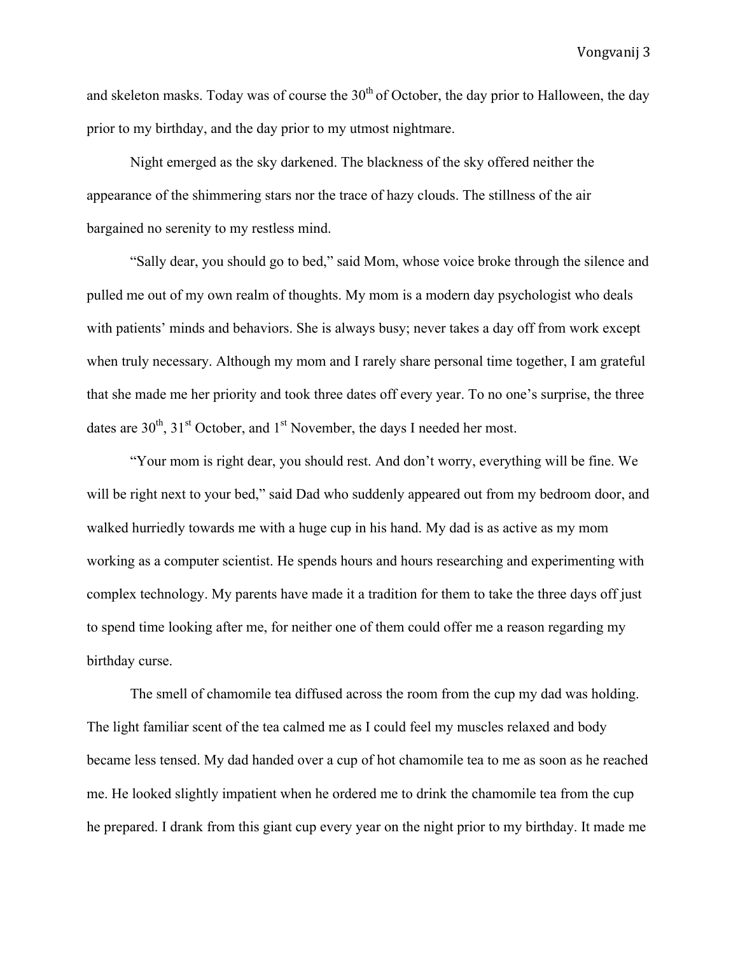and skeleton masks. Today was of course the  $30<sup>th</sup>$  of October, the day prior to Halloween, the day prior to my birthday, and the day prior to my utmost nightmare.

Night emerged as the sky darkened. The blackness of the sky offered neither the appearance of the shimmering stars nor the trace of hazy clouds. The stillness of the air bargained no serenity to my restless mind.

"Sally dear, you should go to bed," said Mom, whose voice broke through the silence and pulled me out of my own realm of thoughts. My mom is a modern day psychologist who deals with patients' minds and behaviors. She is always busy; never takes a day off from work except when truly necessary. Although my mom and I rarely share personal time together, I am grateful that she made me her priority and took three dates off every year. To no one's surprise, the three dates are  $30^{th}$ ,  $31^{st}$  October, and  $1^{st}$  November, the days I needed her most.

"Your mom is right dear, you should rest. And don't worry, everything will be fine. We will be right next to your bed," said Dad who suddenly appeared out from my bedroom door, and walked hurriedly towards me with a huge cup in his hand. My dad is as active as my mom working as a computer scientist. He spends hours and hours researching and experimenting with complex technology. My parents have made it a tradition for them to take the three days off just to spend time looking after me, for neither one of them could offer me a reason regarding my birthday curse.

The smell of chamomile tea diffused across the room from the cup my dad was holding. The light familiar scent of the tea calmed me as I could feel my muscles relaxed and body became less tensed. My dad handed over a cup of hot chamomile tea to me as soon as he reached me. He looked slightly impatient when he ordered me to drink the chamomile tea from the cup he prepared. I drank from this giant cup every year on the night prior to my birthday. It made me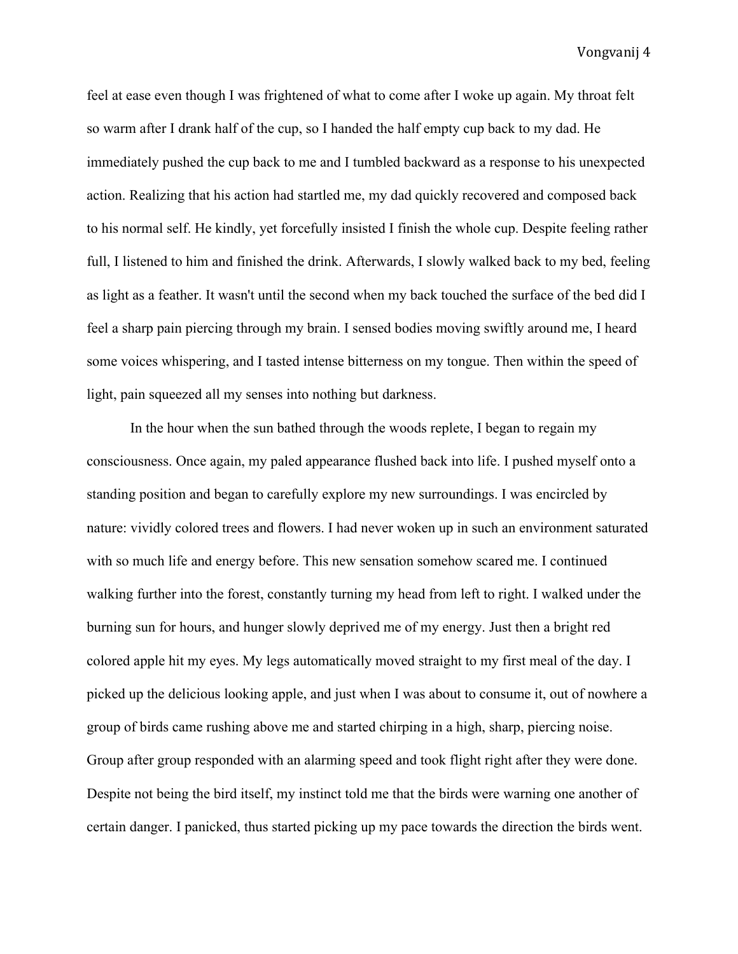feel at ease even though I was frightened of what to come after I woke up again. My throat felt so warm after I drank half of the cup, so I handed the half empty cup back to my dad. He immediately pushed the cup back to me and I tumbled backward as a response to his unexpected action. Realizing that his action had startled me, my dad quickly recovered and composed back to his normal self. He kindly, yet forcefully insisted I finish the whole cup. Despite feeling rather full, I listened to him and finished the drink. Afterwards, I slowly walked back to my bed, feeling as light as a feather. It wasn't until the second when my back touched the surface of the bed did I feel a sharp pain piercing through my brain. I sensed bodies moving swiftly around me, I heard some voices whispering, and I tasted intense bitterness on my tongue. Then within the speed of light, pain squeezed all my senses into nothing but darkness.

In the hour when the sun bathed through the woods replete, I began to regain my consciousness. Once again, my paled appearance flushed back into life. I pushed myself onto a standing position and began to carefully explore my new surroundings. I was encircled by nature: vividly colored trees and flowers. I had never woken up in such an environment saturated with so much life and energy before. This new sensation somehow scared me. I continued walking further into the forest, constantly turning my head from left to right. I walked under the burning sun for hours, and hunger slowly deprived me of my energy. Just then a bright red colored apple hit my eyes. My legs automatically moved straight to my first meal of the day. I picked up the delicious looking apple, and just when I was about to consume it, out of nowhere a group of birds came rushing above me and started chirping in a high, sharp, piercing noise. Group after group responded with an alarming speed and took flight right after they were done. Despite not being the bird itself, my instinct told me that the birds were warning one another of certain danger. I panicked, thus started picking up my pace towards the direction the birds went.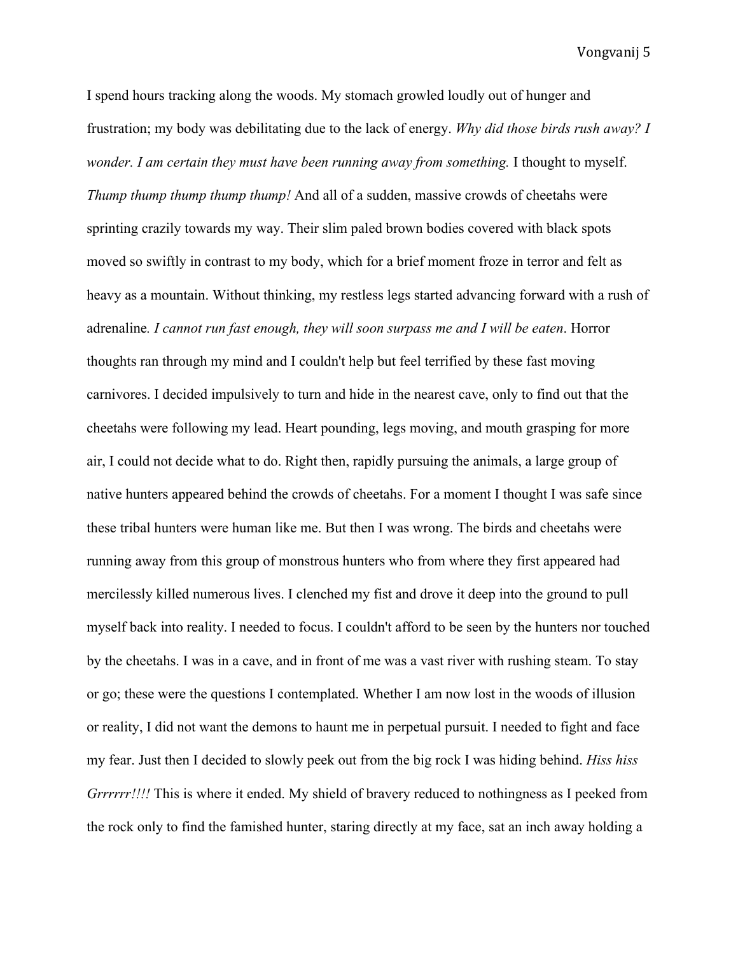I spend hours tracking along the woods. My stomach growled loudly out of hunger and frustration; my body was debilitating due to the lack of energy. *Why did those birds rush away? I wonder. I am certain they must have been running away from something.* I thought to myself. *Thump thump thump thump thump!* And all of a sudden, massive crowds of cheetahs were sprinting crazily towards my way. Their slim paled brown bodies covered with black spots moved so swiftly in contrast to my body, which for a brief moment froze in terror and felt as heavy as a mountain. Without thinking, my restless legs started advancing forward with a rush of adrenaline*. I cannot run fast enough, they will soon surpass me and I will be eaten*. Horror thoughts ran through my mind and I couldn't help but feel terrified by these fast moving carnivores. I decided impulsively to turn and hide in the nearest cave, only to find out that the cheetahs were following my lead. Heart pounding, legs moving, and mouth grasping for more air, I could not decide what to do. Right then, rapidly pursuing the animals, a large group of native hunters appeared behind the crowds of cheetahs. For a moment I thought I was safe since these tribal hunters were human like me. But then I was wrong. The birds and cheetahs were running away from this group of monstrous hunters who from where they first appeared had mercilessly killed numerous lives. I clenched my fist and drove it deep into the ground to pull myself back into reality. I needed to focus. I couldn't afford to be seen by the hunters nor touched by the cheetahs. I was in a cave, and in front of me was a vast river with rushing steam. To stay or go; these were the questions I contemplated. Whether I am now lost in the woods of illusion or reality, I did not want the demons to haunt me in perpetual pursuit. I needed to fight and face my fear. Just then I decided to slowly peek out from the big rock I was hiding behind. *Hiss hiss Grrrrrr!!!!* This is where it ended. My shield of bravery reduced to nothingness as I peeked from the rock only to find the famished hunter, staring directly at my face, sat an inch away holding a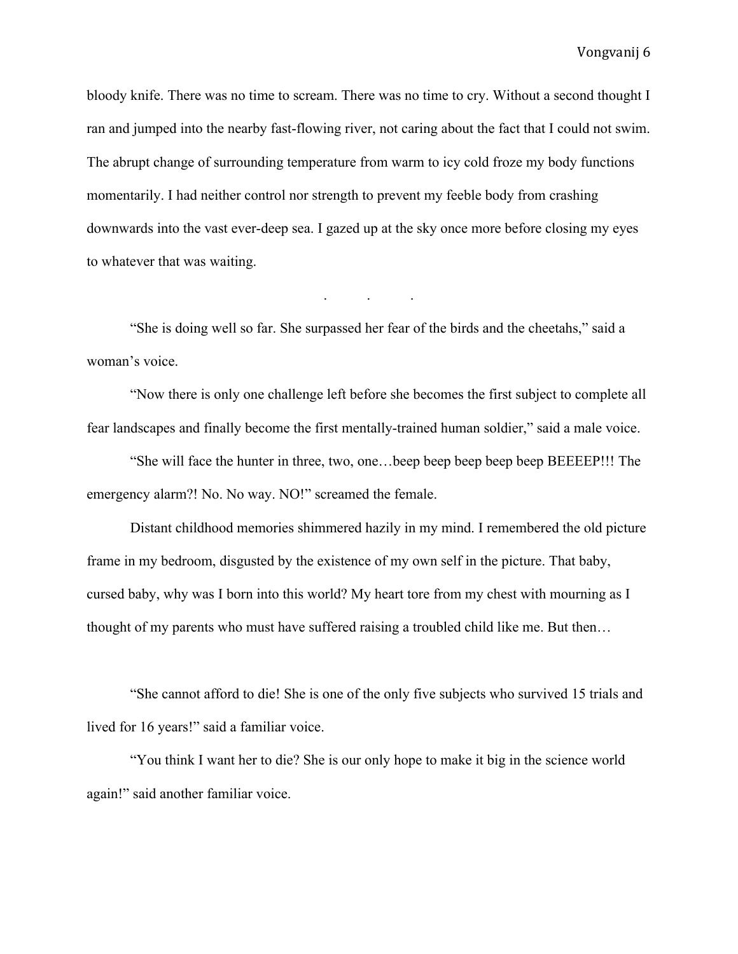bloody knife. There was no time to scream. There was no time to cry. Without a second thought I ran and jumped into the nearby fast-flowing river, not caring about the fact that I could not swim. The abrupt change of surrounding temperature from warm to icy cold froze my body functions momentarily. I had neither control nor strength to prevent my feeble body from crashing downwards into the vast ever-deep sea. I gazed up at the sky once more before closing my eyes to whatever that was waiting.

"She is doing well so far. She surpassed her fear of the birds and the cheetahs," said a woman's voice.

. . .

"Now there is only one challenge left before she becomes the first subject to complete all fear landscapes and finally become the first mentally-trained human soldier," said a male voice.

"She will face the hunter in three, two, one…beep beep beep beep beep BEEEEP!!! The emergency alarm?! No. No way. NO!" screamed the female.

Distant childhood memories shimmered hazily in my mind. I remembered the old picture frame in my bedroom, disgusted by the existence of my own self in the picture. That baby, cursed baby, why was I born into this world? My heart tore from my chest with mourning as I thought of my parents who must have suffered raising a troubled child like me. But then…

"She cannot afford to die! She is one of the only five subjects who survived 15 trials and lived for 16 years!" said a familiar voice.

"You think I want her to die? She is our only hope to make it big in the science world again!" said another familiar voice.